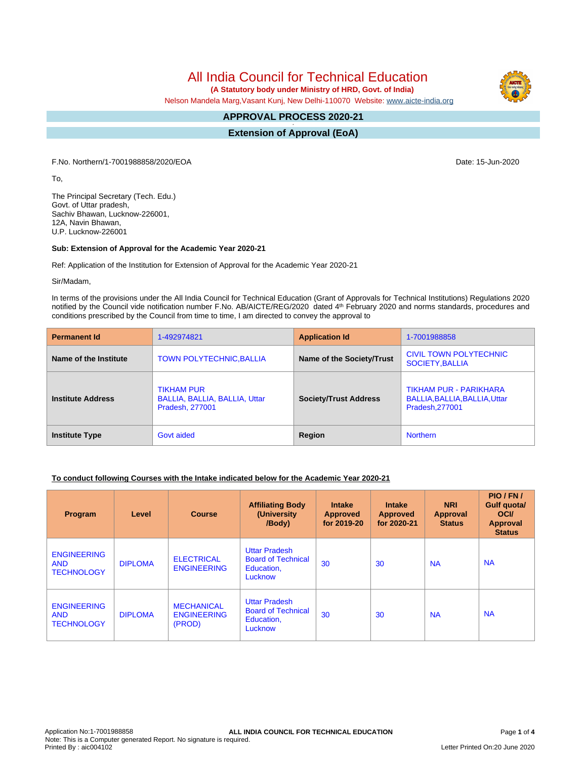# All India Council for Technical Education

 **(A Statutory body under Ministry of HRD, Govt. of India)**

Nelson Mandela Marg,Vasant Kunj, New Delhi-110070 Website: [www.aicte-india.org](http://www.aicte-india.org)

#### **APPROVAL PROCESS 2020-21 -**

**Extension of Approval (EoA)**

F.No. Northern/1-7001988858/2020/EOA Date: 15-Jun-2020

To,

The Principal Secretary (Tech. Edu.) Govt. of Uttar pradesh, Sachiv Bhawan, Lucknow-226001, 12A, Navin Bhawan, U.P. Lucknow-226001

#### **Sub: Extension of Approval for the Academic Year 2020-21**

Ref: Application of the Institution for Extension of Approval for the Academic Year 2020-21

Sir/Madam,

In terms of the provisions under the All India Council for Technical Education (Grant of Approvals for Technical Institutions) Regulations 2020 notified by the Council vide notification number F.No. AB/AICTE/REG/2020 dated 4<sup>th</sup> February 2020 and norms standards, procedures and conditions prescribed by the Council from time to time, I am directed to convey the approval to

| <b>Permanent Id</b>      | 1-492974821                                                           | <b>Application Id</b>        | 1-7001988858                                                               |  |
|--------------------------|-----------------------------------------------------------------------|------------------------------|----------------------------------------------------------------------------|--|
| Name of the Institute    | <b>TOWN POLYTECHNIC, BALLIA</b>                                       | Name of the Society/Trust    | CIVIL TOWN POLYTECHNIC<br><b>SOCIETY, BALLIA</b>                           |  |
| <b>Institute Address</b> | <b>TIKHAM PUR</b><br>BALLIA, BALLIA, BALLIA, Uttar<br>Pradesh, 277001 | <b>Society/Trust Address</b> | TIKHAM PUR - PARIKHARA<br>BALLIA, BALLIA, BALLIA, Uttar<br>Pradesh, 277001 |  |
| <b>Institute Type</b>    | Govt aided                                                            | Region                       | <b>Northern</b>                                                            |  |

#### **To conduct following Courses with the Intake indicated below for the Academic Year 2020-21**

| Program                                               | Level          | <b>Course</b>                                     | <b>Affiliating Body</b><br>(University<br>/Body)                           | <b>Intake</b><br><b>Approved</b><br>for 2019-20 | <b>Intake</b><br><b>Approved</b><br>for 2020-21 | <b>NRI</b><br>Approval<br><b>Status</b> | PIO/FN/<br>Gulf quota/<br><b>OCI</b><br>Approval<br><b>Status</b> |
|-------------------------------------------------------|----------------|---------------------------------------------------|----------------------------------------------------------------------------|-------------------------------------------------|-------------------------------------------------|-----------------------------------------|-------------------------------------------------------------------|
| <b>ENGINEERING</b><br><b>AND</b><br><b>TECHNOLOGY</b> | <b>DIPLOMA</b> | <b>ELECTRICAL</b><br><b>ENGINEERING</b>           | <b>Uttar Pradesh</b><br><b>Board of Technical</b><br>Education,<br>Lucknow | 30                                              | 30                                              | <b>NA</b>                               | <b>NA</b>                                                         |
| <b>ENGINEERING</b><br><b>AND</b><br><b>TECHNOLOGY</b> | <b>DIPLOMA</b> | <b>MECHANICAL</b><br><b>ENGINEERING</b><br>(PROD) | <b>Uttar Pradesh</b><br><b>Board of Technical</b><br>Education,<br>Lucknow | 30                                              | 30                                              | <b>NA</b>                               | <b>NA</b>                                                         |

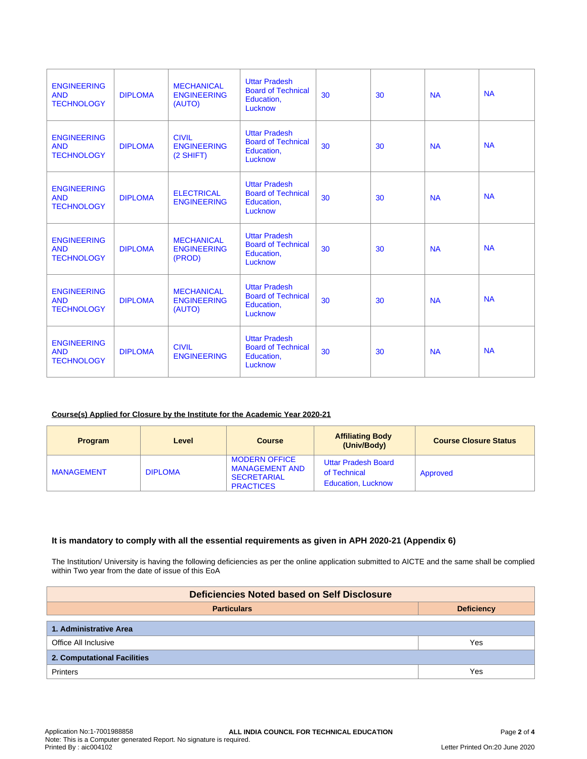| <b>ENGINEERING</b><br><b>AND</b><br><b>TECHNOLOGY</b> | <b>DIPLOMA</b> | <b>MECHANICAL</b><br><b>ENGINEERING</b><br>(AUTO) | <b>Uttar Pradesh</b><br><b>Board of Technical</b><br>Education,<br>Lucknow | 30 | 30 | <b>NA</b> | <b>NA</b> |
|-------------------------------------------------------|----------------|---------------------------------------------------|----------------------------------------------------------------------------|----|----|-----------|-----------|
| <b>ENGINEERING</b><br><b>AND</b><br><b>TECHNOLOGY</b> | <b>DIPLOMA</b> | <b>CIVIL</b><br><b>ENGINEERING</b><br>$(2$ SHIFT) | <b>Uttar Pradesh</b><br><b>Board of Technical</b><br>Education,<br>Lucknow | 30 | 30 | <b>NA</b> | <b>NA</b> |
| <b>ENGINEERING</b><br><b>AND</b><br><b>TECHNOLOGY</b> | <b>DIPLOMA</b> | <b>ELECTRICAL</b><br><b>ENGINEERING</b>           | <b>Uttar Pradesh</b><br><b>Board of Technical</b><br>Education,<br>Lucknow | 30 | 30 | <b>NA</b> | <b>NA</b> |
| <b>ENGINEERING</b><br><b>AND</b><br><b>TECHNOLOGY</b> | <b>DIPLOMA</b> | <b>MECHANICAL</b><br><b>ENGINEERING</b><br>(PROD) | <b>Uttar Pradesh</b><br><b>Board of Technical</b><br>Education,<br>Lucknow | 30 | 30 | <b>NA</b> | <b>NA</b> |
| <b>ENGINEERING</b><br><b>AND</b><br><b>TECHNOLOGY</b> | <b>DIPLOMA</b> | <b>MECHANICAL</b><br><b>ENGINEERING</b><br>(AUTO) | <b>Uttar Pradesh</b><br><b>Board of Technical</b><br>Education,<br>Lucknow | 30 | 30 | <b>NA</b> | <b>NA</b> |
| <b>ENGINEERING</b><br><b>AND</b><br><b>TECHNOLOGY</b> | <b>DIPLOMA</b> | <b>CIVIL</b><br><b>ENGINEERING</b>                | <b>Uttar Pradesh</b><br><b>Board of Technical</b><br>Education,<br>Lucknow | 30 | 30 | <b>NA</b> | <b>NA</b> |

### **Course(s) Applied for Closure by the Institute for the Academic Year 2020-21**

| Program           | Level          | <b>Course</b>                                                                           | <b>Affiliating Body</b><br>(Univ/Body)                                  | <b>Course Closure Status</b> |
|-------------------|----------------|-----------------------------------------------------------------------------------------|-------------------------------------------------------------------------|------------------------------|
| <b>MANAGEMENT</b> | <b>DIPLOMA</b> | <b>MODERN OFFICE</b><br><b>MANAGEMENT AND</b><br><b>SECRETARIAL</b><br><b>PRACTICES</b> | <b>Uttar Pradesh Board</b><br>of Technical<br><b>Education, Lucknow</b> | Approved                     |

#### **It is mandatory to comply with all the essential requirements as given in APH 2020-21 (Appendix 6)**

The Institution/ University is having the following deficiencies as per the online application submitted to AICTE and the same shall be complied within Two year from the date of issue of this EoA

| Deficiencies Noted based on Self Disclosure |     |  |  |  |  |
|---------------------------------------------|-----|--|--|--|--|
| <b>Particulars</b><br><b>Deficiency</b>     |     |  |  |  |  |
| 1. Administrative Area                      |     |  |  |  |  |
| Office All Inclusive                        | Yes |  |  |  |  |
| 2. Computational Facilities                 |     |  |  |  |  |
| <b>Printers</b>                             | Yes |  |  |  |  |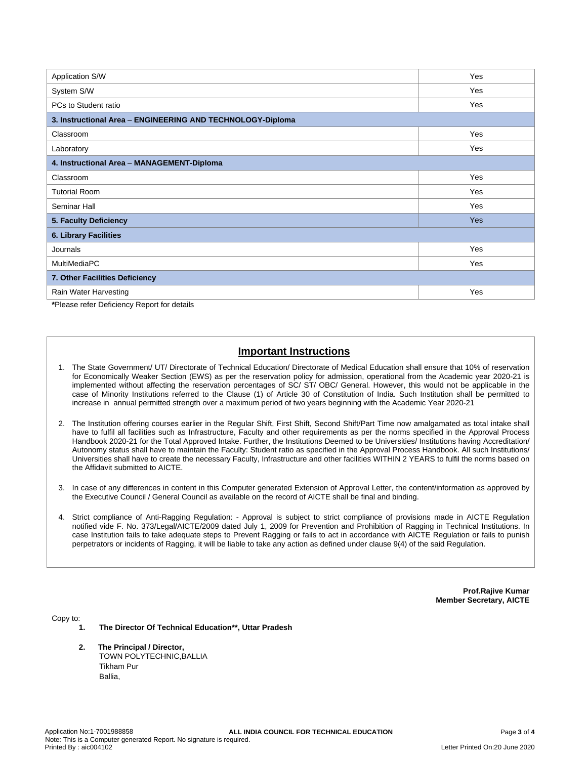| Application S/W                                            | Yes |  |  |  |  |
|------------------------------------------------------------|-----|--|--|--|--|
| System S/W                                                 | Yes |  |  |  |  |
| PCs to Student ratio                                       | Yes |  |  |  |  |
| 3. Instructional Area - ENGINEERING AND TECHNOLOGY-Diploma |     |  |  |  |  |
| Classroom                                                  | Yes |  |  |  |  |
| Laboratory                                                 | Yes |  |  |  |  |
| 4. Instructional Area - MANAGEMENT-Diploma                 |     |  |  |  |  |
| Classroom                                                  | Yes |  |  |  |  |
| <b>Tutorial Room</b>                                       | Yes |  |  |  |  |
| Seminar Hall                                               | Yes |  |  |  |  |
| 5. Faculty Deficiency                                      | Yes |  |  |  |  |
| <b>6. Library Facilities</b>                               |     |  |  |  |  |
| Journals                                                   | Yes |  |  |  |  |
| MultiMediaPC                                               | Yes |  |  |  |  |
| 7. Other Facilities Deficiency                             |     |  |  |  |  |
| Rain Water Harvesting                                      | Yes |  |  |  |  |

**\***Please refer Deficiency Report for details

## **Important Instructions**

- 1. The State Government/ UT/ Directorate of Technical Education/ Directorate of Medical Education shall ensure that 10% of reservation for Economically Weaker Section (EWS) as per the reservation policy for admission, operational from the Academic year 2020-21 is implemented without affecting the reservation percentages of SC/ ST/ OBC/ General. However, this would not be applicable in the case of Minority Institutions referred to the Clause (1) of Article 30 of Constitution of India. Such Institution shall be permitted to increase in annual permitted strength over a maximum period of two years beginning with the Academic Year 2020-21
- 2. The Institution offering courses earlier in the Regular Shift, First Shift, Second Shift/Part Time now amalgamated as total intake shall have to fulfil all facilities such as Infrastructure, Faculty and other requirements as per the norms specified in the Approval Process Handbook 2020-21 for the Total Approved Intake. Further, the Institutions Deemed to be Universities/ Institutions having Accreditation/ Autonomy status shall have to maintain the Faculty: Student ratio as specified in the Approval Process Handbook. All such Institutions/ Universities shall have to create the necessary Faculty, Infrastructure and other facilities WITHIN 2 YEARS to fulfil the norms based on the Affidavit submitted to AICTE.
- 3. In case of any differences in content in this Computer generated Extension of Approval Letter, the content/information as approved by the Executive Council / General Council as available on the record of AICTE shall be final and binding.
- 4. Strict compliance of Anti-Ragging Regulation: Approval is subject to strict compliance of provisions made in AICTE Regulation notified vide F. No. 373/Legal/AICTE/2009 dated July 1, 2009 for Prevention and Prohibition of Ragging in Technical Institutions. In case Institution fails to take adequate steps to Prevent Ragging or fails to act in accordance with AICTE Regulation or fails to punish perpetrators or incidents of Ragging, it will be liable to take any action as defined under clause 9(4) of the said Regulation.

**Prof.Rajive Kumar Member Secretary, AICTE**

Copy to:

- **1. The Director Of Technical Education\*\*, Uttar Pradesh**
- **2. The Principal / Director,** TOWN POLYTECHNIC,BALLIA Tikham Pur Ballia,